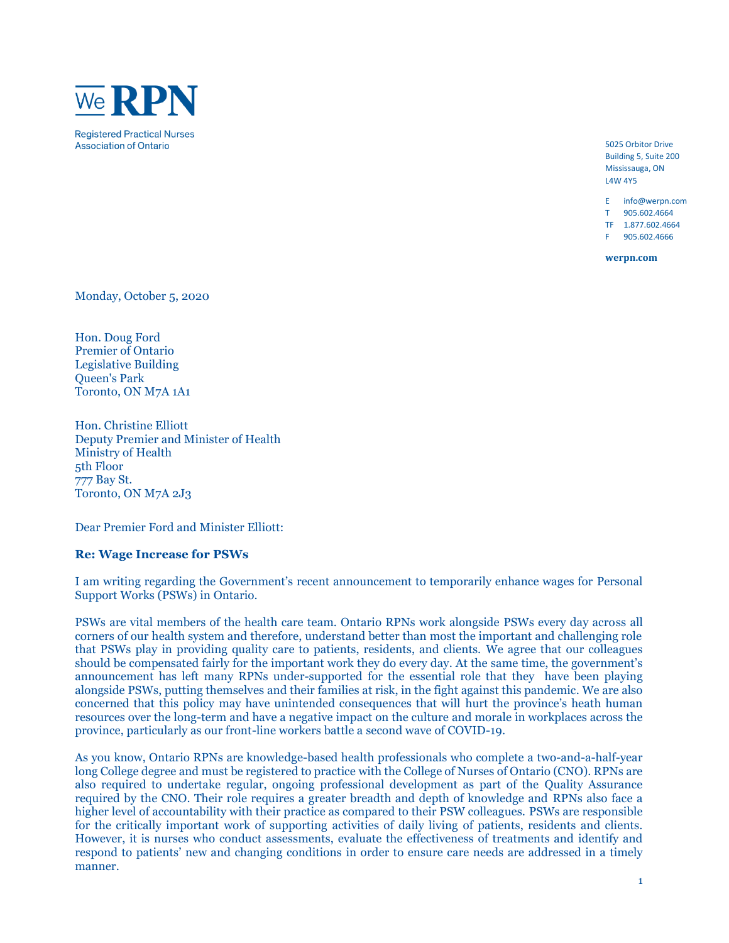

5025 Orbitor Drive Building 5, Suite 200 Mississauga, ON L4W 4Y5

E info@werpn.com T 905.602.4664

TF 1.877.602.4664

F 905.602.4666

**werpn.com**

Monday, October 5, 2020

Hon. Doug Ford Premier of Ontario Legislative Building Queen's Park Toronto, ON M7A 1A1

Hon. Christine Elliott Deputy Premier and Minister of Health Ministry of Health 5th Floor 777 Bay St. Toronto, ON M7A 2J3

Dear Premier Ford and Minister Elliott:

## **Re: Wage Increase for PSWs**

I am writing regarding the Government's recent announcement to temporarily enhance wages for Personal Support Works (PSWs) in Ontario.

PSWs are vital members of the health care team. Ontario RPNs work alongside PSWs every day across all corners of our health system and therefore, understand better than most the important and challenging role that PSWs play in providing quality care to patients, residents, and clients. We agree that our colleagues should be compensated fairly for the important work they do every day. At the same time, the government's announcement has left many RPNs under-supported for the essential role that they have been playing alongside PSWs, putting themselves and their families at risk, in the fight against this pandemic. We are also concerned that this policy may have unintended consequences that will hurt the province's heath human resources over the long-term and have a negative impact on the culture and morale in workplaces across the province, particularly as our front-line workers battle a second wave of COVID-19.

As you know, Ontario RPNs are knowledge-based health professionals who complete a two-and-a-half-year long College degree and must be registered to practice with the College of Nurses of Ontario (CNO). RPNs are also required to undertake regular, ongoing professional development as part of the Quality Assurance required by the CNO. Their role requires a greater breadth and depth of knowledge and RPNs also face a higher level of accountability with their practice as compared to their PSW colleagues. PSWs are responsible for the critically important work of supporting activities of daily living of patients, residents and clients. However, it is nurses who conduct assessments, evaluate the effectiveness of treatments and identify and respond to patients' new and changing conditions in order to ensure care needs are addressed in a timely manner.